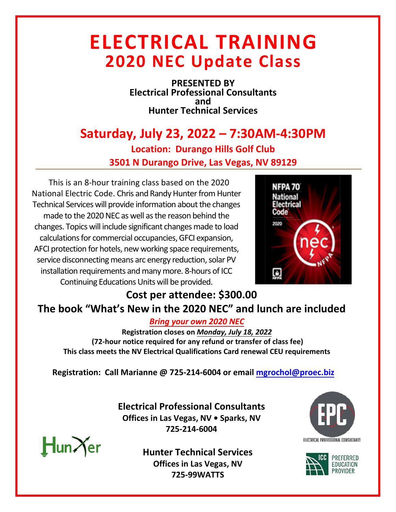## **ELECTRICAL TRAINING 2020 NEC Update Class**

**PRESENTED BY Electrical Professional Consultants and Hunter Technical Services** 

## **Saturday, July 23, 2022 – 7:30AM-4:30PM Location: Durango Hills Golf Club 3501 N Durango Drive, Las Vegas, NV 89129**

This is an 8-hour training class based on the 2020 National Electric Code. [Chris](https://proecbiz.sharepoint.com/sites/ElectricalSafetyProfessionals/Shared%20Documents/General/EduCode/Educode%20Contract%20Master.docx?web=1) and Randy Hunter from Hunter Technical Services will provide information about the changes made to the 2020 NEC as well as the reason behind the changes. Topics will include significant changes made to load calculations for commercial occupancies, GFCI expansion, AFCI protection for hotels, new working space requirements, service disconnecting means arc energy reduction, solar PV installation requirements and many more. 8-hours of ICC Continuing Educations Units will be provided.



## **Cost per attendee: \$300.00 The book "What's New in the 2020 NEC" and lunch are included**

*Bring your own 2020 NEC*

**Registration closes on** *Monday, July 18, 2022* **(72-hour notice required for any refund or transfer of class fee) This class meets the NV Electrical Qualifications Card renewal CEU requirements** 

**Registration: Call Marianne @ 725-214-6004 or email mgrochol@proec.biz**

**Electrical Professional Consultants Offices in Las Vegas, NV • Sparks, NV 725-214-6004**



**Hunter Technical Services Offices in Las Vegas, NV 725-99WATTS**